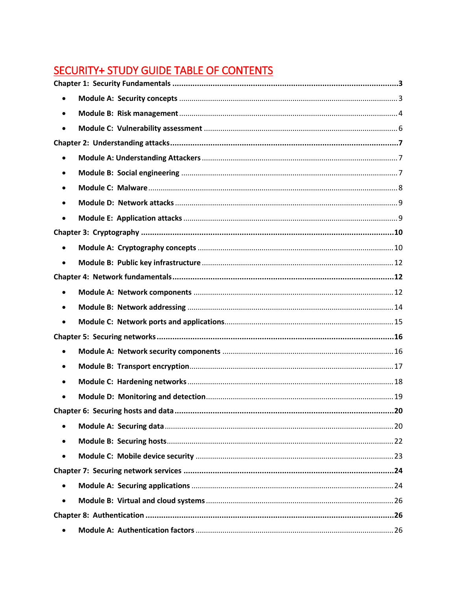# **SECURITY+ STUDY GUIDE TABLE OF CONTENTS**

| $\bullet$ |                                          |  |  |
|-----------|------------------------------------------|--|--|
| $\bullet$ |                                          |  |  |
|           |                                          |  |  |
|           |                                          |  |  |
| $\bullet$ |                                          |  |  |
|           |                                          |  |  |
|           |                                          |  |  |
| $\bullet$ |                                          |  |  |
|           |                                          |  |  |
|           |                                          |  |  |
| $\bullet$ |                                          |  |  |
|           |                                          |  |  |
|           |                                          |  |  |
| $\bullet$ |                                          |  |  |
|           |                                          |  |  |
| $\bullet$ |                                          |  |  |
|           |                                          |  |  |
| $\bullet$ |                                          |  |  |
| $\bullet$ |                                          |  |  |
|           |                                          |  |  |
|           |                                          |  |  |
|           | Chapter 6: Securing hosts and data<br>20 |  |  |
|           |                                          |  |  |
|           |                                          |  |  |
| $\bullet$ |                                          |  |  |
|           |                                          |  |  |
| $\bullet$ |                                          |  |  |
| $\bullet$ |                                          |  |  |
|           |                                          |  |  |
|           |                                          |  |  |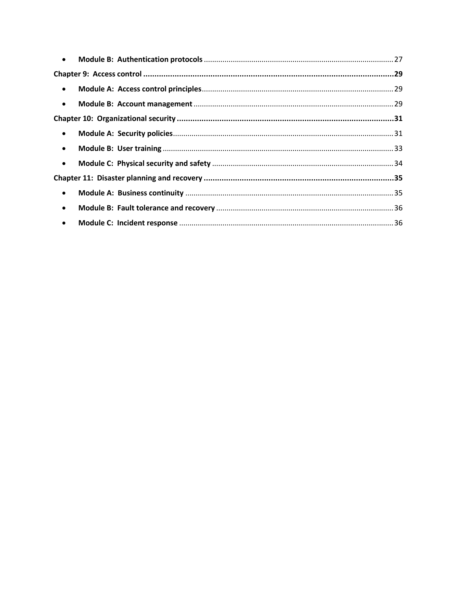| $\bullet$ |  |  |  |  |
|-----------|--|--|--|--|
|           |  |  |  |  |
| $\bullet$ |  |  |  |  |
| $\bullet$ |  |  |  |  |
|           |  |  |  |  |
| $\bullet$ |  |  |  |  |
| $\bullet$ |  |  |  |  |
| $\bullet$ |  |  |  |  |
|           |  |  |  |  |
| $\bullet$ |  |  |  |  |
| $\bullet$ |  |  |  |  |
| $\bullet$ |  |  |  |  |
|           |  |  |  |  |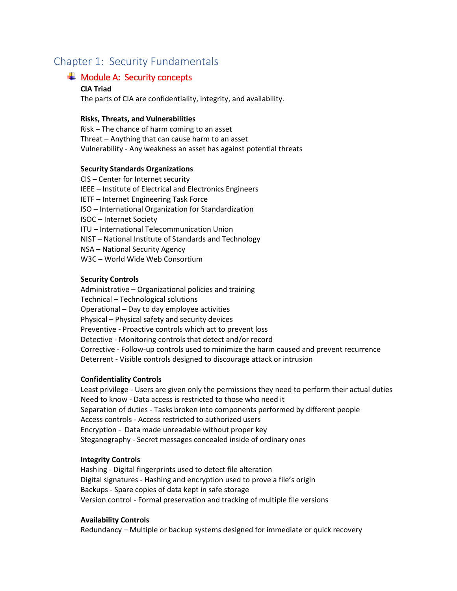# <span id="page-2-1"></span><span id="page-2-0"></span>Chapter 1: Security Fundamentals

# $\textcolor{red}{\div}$  Module A: Security concepts

#### **CIA Triad**

The parts of CIA are confidentiality, integrity, and availability.

#### **Risks, Threats, and Vulnerabilities**

Risk – The chance of harm coming to an asset Threat – Anything that can cause harm to an asset Vulnerability - Any weakness an asset has against potential threats

#### **Security Standards Organizations**

CIS – Center for Internet security IEEE – Institute of Electrical and Electronics Engineers IETF – Internet Engineering Task Force ISO – International Organization for Standardization ISOC – Internet Society ITU – International Telecommunication Union NIST – National Institute of Standards and Technology NSA – National Security Agency W3C – World Wide Web Consortium

#### **Security Controls**

Administrative – Organizational policies and training Technical – Technological solutions Operational – Day to day employee activities Physical – Physical safety and security devices Preventive - Proactive controls which act to prevent loss Detective - Monitoring controls that detect and/or record Corrective - Follow-up controls used to minimize the harm caused and prevent recurrence Deterrent - Visible controls designed to discourage attack or intrusion

#### **Confidentiality Controls**

Least privilege - Users are given only the permissions they need to perform their actual duties Need to know - Data access is restricted to those who need it Separation of duties - Tasks broken into components performed by different people Access controls - Access restricted to authorized users Encryption - Data made unreadable without proper key Steganography - Secret messages concealed inside of ordinary ones

#### **Integrity Controls**

Hashing - Digital fingerprints used to detect file alteration Digital signatures - Hashing and encryption used to prove a file's origin Backups - Spare copies of data kept in safe storage Version control - Formal preservation and tracking of multiple file versions

#### **Availability Controls**

Redundancy – Multiple or backup systems designed for immediate or quick recovery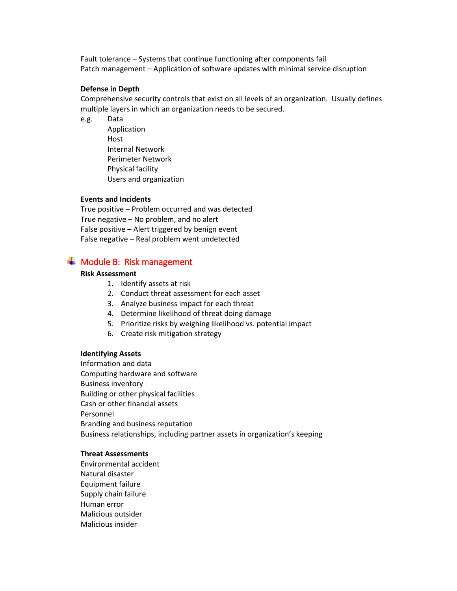Fault tolerance – Systems that continue functioning after components fail Patch management – Application of software updates with minimal service disruption

#### **Defense in Depth**

Comprehensive security controls that exist on all levels of an organization. Usually defines multiple layers in which an organization needs to be secured.

e.g. Data

Application Host Internal Network Perimeter Network Physical facility Users and organization

#### **Events and Incidents**

True positive – Problem occurred and was detected True negative – No problem, and no alert False positive – Alert triggered by benign event False negative – Real problem went undetected

# <span id="page-3-0"></span> $\textcolor{red}{\blacktriangleleft}$  Module B: Risk management

#### **Risk Assessment**

- 1. Identify assets at risk
- 2. Conduct threat assessment for each asset
- 3. Analyze business impact for each threat
- 4. Determine likelihood of threat doing damage
- 5. Prioritize risks by weighing likelihood vs. potential impact
- 6. Create risk mitigation strategy

#### **Identifying Assets**

Information and data Computing hardware and software Business inventory Building or other physical facilities Cash or other financial assets Personnel Branding and business reputation Business relationships, including partner assets in organization's keeping

#### **Threat Assessments**

Environmental accident Natural disaster Equipment failure Supply chain failure Human error Malicious outsider Malicious insider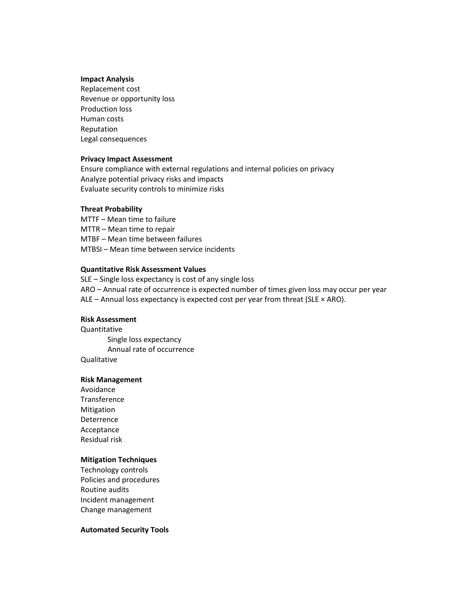#### **Impact Analysis**

Replacement cost Revenue or opportunity loss Production loss Human costs Reputation Legal consequences

#### **Privacy Impact Assessment**

Ensure compliance with external regulations and internal policies on privacy Analyze potential privacy risks and impacts Evaluate security controls to minimize risks

#### **Threat Probability**

MTTF – Mean time to failure MTTR – Mean time to repair MTBF – Mean time between failures MTBSI – Mean time between service incidents

#### **Quantitative Risk Assessment Values**

SLE – Single loss expectancy is cost of any single loss ARO – Annual rate of occurrence is expected number of times given loss may occur per year ALE – Annual loss expectancy is expected cost per year from threat (SLE  $\times$  ARO).

#### **Risk Assessment**

Quantitative Single loss expectancy Annual rate of occurrence Qualitative

#### **Risk Management**

Avoidance Transference Mitigation Deterrence Acceptance Residual risk

#### **Mitigation Techniques**

Technology controls Policies and procedures Routine audits Incident management Change management

#### **Automated Security Tools**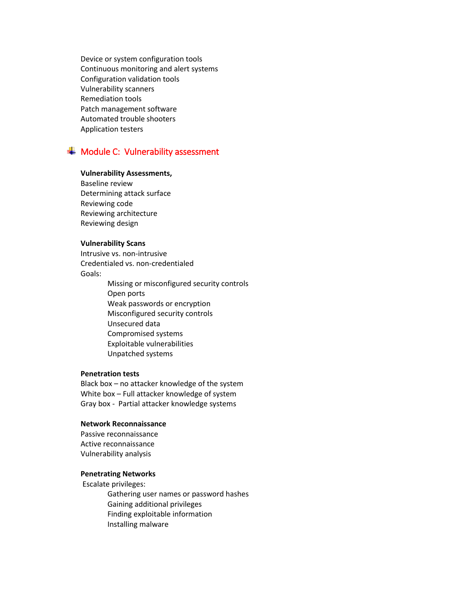Device or system configuration tools Continuous monitoring and alert systems Configuration validation tools Vulnerability scanners Remediation tools Patch management software Automated trouble shooters Application testers

# <span id="page-5-0"></span> $\textcolor{red}{\blacktriangleleft}$  Module C: Vulnerability assessment

#### **Vulnerability Assessments,**

Baseline review Determining attack surface Reviewing code Reviewing architecture Reviewing design

#### **Vulnerability Scans**

Intrusive vs. non-intrusive Credentialed vs. non-credentialed Goals:

> Missing or misconfigured security controls Open ports Weak passwords or encryption Misconfigured security controls Unsecured data Compromised systems Exploitable vulnerabilities Unpatched systems

#### **Penetration tests**

Black box – no attacker knowledge of the system White box – Full attacker knowledge of system Gray box - Partial attacker knowledge systems

#### **Network Reconnaissance**

Passive reconnaissance Active reconnaissance Vulnerability analysis

#### **Penetrating Networks**

Escalate privileges:

Gathering user names or password hashes Gaining additional privileges Finding exploitable information Installing malware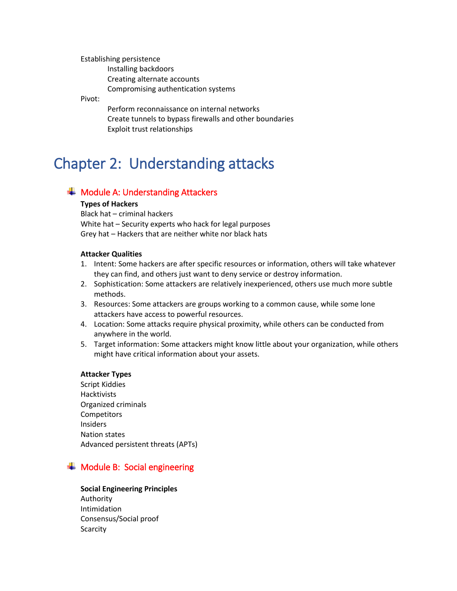Establishing persistence Installing backdoors Creating alternate accounts Compromising authentication systems

Pivot:

Perform reconnaissance on internal networks Create tunnels to bypass firewalls and other boundaries Exploit trust relationships

# <span id="page-6-0"></span>Chapter 2: Understanding attacks

# <span id="page-6-1"></span> $\overline{\phantom{a}}$  Module A: Understanding Attackers

### **Types of Hackers**

Black hat – criminal hackers White hat – Security experts who hack for legal purposes Grey hat – Hackers that are neither white nor black hats

### **Attacker Qualities**

- 1. Intent: Some hackers are after specific resources or information, others will take whatever they can find, and others just want to deny service or destroy information.
- 2. Sophistication: Some attackers are relatively inexperienced, others use much more subtle methods.
- 3. Resources: Some attackers are groups working to a common cause, while some lone attackers have access to powerful resources.
- 4. Location: Some attacks require physical proximity, while others can be conducted from anywhere in the world.
- 5. Target information: Some attackers might know little about your organization, while others might have critical information about your assets.

### **Attacker Types**

Script Kiddies Hacktivists Organized criminals Competitors **Insiders** Nation states Advanced persistent threats (APTs)

# <span id="page-6-2"></span> $\textcolor{red}{\div}$  Module B: Social engineering

### **Social Engineering Principles**

Authority Intimidation Consensus/Social proof **Scarcity**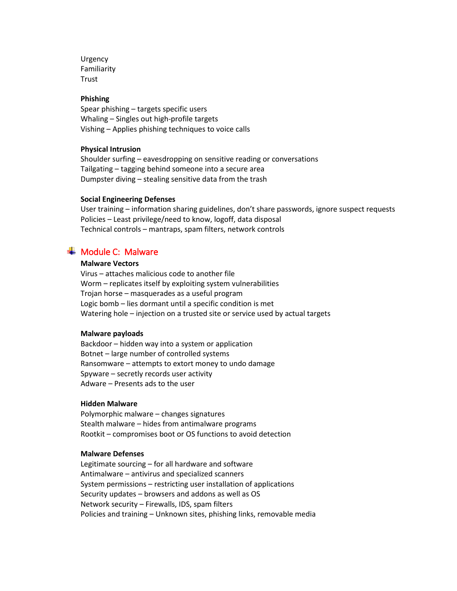**Urgency** Familiarity Trust

#### **Phishing**

Spear phishing – targets specific users Whaling – Singles out high-profile targets Vishing – Applies phishing techniques to voice calls

#### **Physical Intrusion**

Shoulder surfing – eavesdropping on sensitive reading or conversations Tailgating – tagging behind someone into a secure area Dumpster diving – stealing sensitive data from the trash

#### **Social Engineering Defenses**

User training – information sharing guidelines, don't share passwords, ignore suspect requests Policies – Least privilege/need to know, logoff, data disposal Technical controls – mantraps, spam filters, network controls

# <span id="page-7-0"></span> $\pm$  Module C: Malware

#### **Malware Vectors**

Virus – attaches malicious code to another file Worm – replicates itself by exploiting system vulnerabilities Trojan horse – masquerades as a useful program Logic bomb – lies dormant until a specific condition is met Watering hole – injection on a trusted site or service used by actual targets

#### **Malware payloads**

Backdoor – hidden way into a system or application Botnet – large number of controlled systems Ransomware – attempts to extort money to undo damage Spyware – secretly records user activity Adware – Presents ads to the user

#### **Hidden Malware**

Polymorphic malware – changes signatures Stealth malware – hides from antimalware programs Rootkit – compromises boot or OS functions to avoid detection

#### **Malware Defenses**

Legitimate sourcing – for all hardware and software Antimalware – antivirus and specialized scanners System permissions – restricting user installation of applications Security updates – browsers and addons as well as OS Network security – Firewalls, IDS, spam filters Policies and training – Unknown sites, phishing links, removable media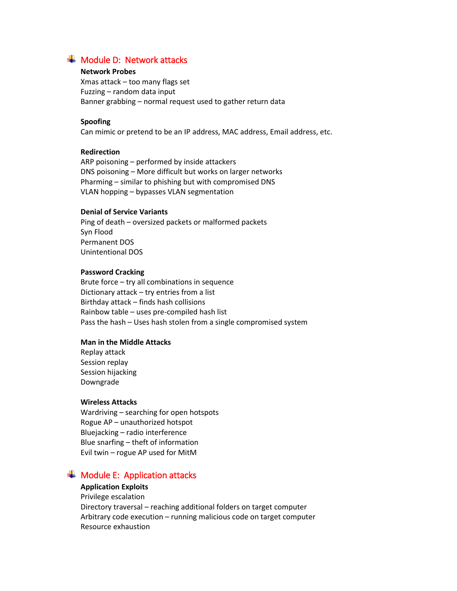# <span id="page-8-0"></span> $\textcolor{red}{\blacktriangleleft}$  Module D: Network attacks

#### **Network Probes**

Xmas attack – too many flags set Fuzzing – random data input Banner grabbing – normal request used to gather return data

#### **Spoofing**

Can mimic or pretend to be an IP address, MAC address, Email address, etc.

#### **Redirection**

ARP poisoning – performed by inside attackers DNS poisoning – More difficult but works on larger networks Pharming – similar to phishing but with compromised DNS VLAN hopping – bypasses VLAN segmentation

#### **Denial of Service Variants**

Ping of death – oversized packets or malformed packets Syn Flood Permanent DOS Unintentional DOS

#### **Password Cracking**

Brute force – try all combinations in sequence Dictionary attack – try entries from a list Birthday attack – finds hash collisions Rainbow table – uses pre-compiled hash list Pass the hash – Uses hash stolen from a single compromised system

#### **Man in the Middle Attacks**

Replay attack Session replay Session hijacking Downgrade

#### **Wireless Attacks**

Wardriving – searching for open hotspots Rogue AP – unauthorized hotspot Bluejacking – radio interference Blue snarfing – theft of information Evil twin – rogue AP used for MitM

# <span id="page-8-1"></span> $\textcolor{red}{\div}$  Module E: Application attacks

#### **Application Exploits**

Privilege escalation Directory traversal – reaching additional folders on target computer Arbitrary code execution – running malicious code on target computer Resource exhaustion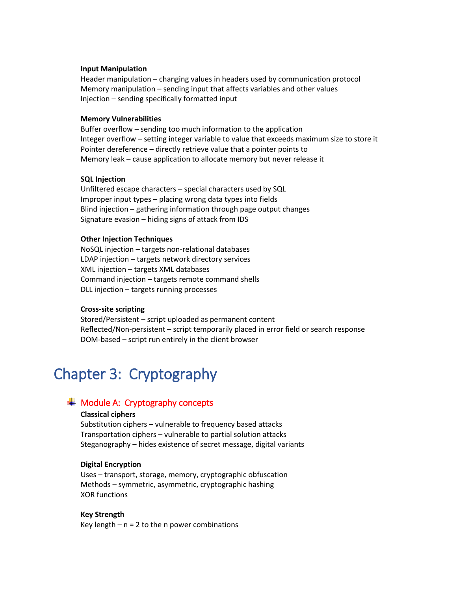#### **Input Manipulation**

Header manipulation – changing values in headers used by communication protocol Memory manipulation – sending input that affects variables and other values Injection – sending specifically formatted input

#### **Memory Vulnerabilities**

Buffer overflow – sending too much information to the application Integer overflow – setting integer variable to value that exceeds maximum size to store it Pointer dereference – directly retrieve value that a pointer points to Memory leak – cause application to allocate memory but never release it

#### **SQL Injection**

Unfiltered escape characters – special characters used by SQL Improper input types – placing wrong data types into fields Blind injection – gathering information through page output changes Signature evasion – hiding signs of attack from IDS

#### **Other Injection Techniques**

NoSQL injection – targets non-relational databases LDAP injection – targets network directory services XML injection – targets XML databases Command injection – targets remote command shells DLL injection – targets running processes

#### **Cross-site scripting**

Stored/Persistent – script uploaded as permanent content Reflected/Non-persistent – script temporarily placed in error field or search response DOM-based – script run entirely in the client browser

# <span id="page-9-0"></span>Chapter 3: Cryptography

# <span id="page-9-1"></span> $\textcolor{red}{\blacktriangleleft}$  Module A: Cryptography concepts

#### **Classical ciphers**

Substitution ciphers – vulnerable to frequency based attacks Transportation ciphers – vulnerable to partial solution attacks Steganography – hides existence of secret message, digital variants

#### **Digital Encryption**

Uses – transport, storage, memory, cryptographic obfuscation Methods – symmetric, asymmetric, cryptographic hashing XOR functions

#### **Key Strength** Key length  $-$  n = 2 to the n power combinations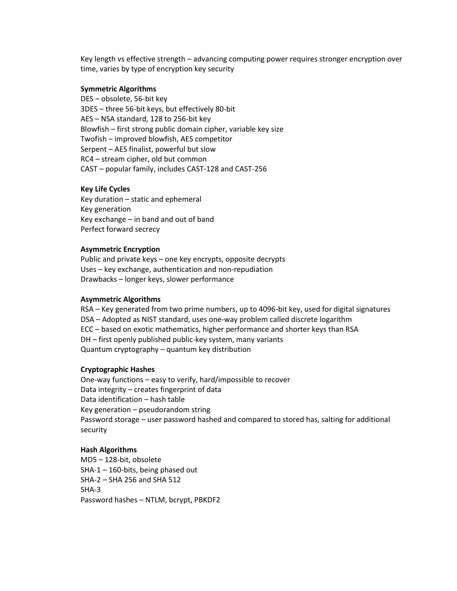Key length vs effective strength – advancing computing power requires stronger encryption over time, varies by type of encryption key security

#### **Symmetric Algorithms**

DES – obsolete, 56-bit key 3DES – three 56-bit keys, but effectively 80-bit AES – NSA standard, 128 to 256-bit key Blowfish – first strong public domain cipher, variable key size Twofish – improved blowfish, AES competitor Serpent – AES finalist, powerful but slow RC4 – stream cipher, old but common CAST – popular family, includes CAST-128 and CAST-256

#### **Key Life Cycles**

Key duration – static and ephemeral Key generation Key exchange – in band and out of band Perfect forward secrecy

#### **Asymmetric Encryption**

Public and private keys – one key encrypts, opposite decrypts Uses – key exchange, authentication and non-repudiation Drawbacks – longer keys, slower performance

#### **Asymmetric Algorithms**

RSA – Key generated from two prime numbers, up to 4096-bit key, used for digital signatures DSA – Adopted as NIST standard, uses one-way problem called discrete logarithm ECC – based on exotic mathematics, higher performance and shorter keys than RSA DH – first openly published public-key system, many variants Quantum cryptography – quantum key distribution

#### **Cryptographic Hashes**

One-way functions – easy to verify, hard/impossible to recover Data integrity – creates fingerprint of data Data identification – hash table Key generation – pseudorandom string Password storage – user password hashed and compared to stored has, salting for additional security

#### **Hash Algorithms**

MD5 – 128-bit, obsolete SHA-1 – 160-bits, being phased out SHA-2 – SHA 256 and SHA 512 SHA-3 Password hashes – NTLM, bcrypt, PBKDF2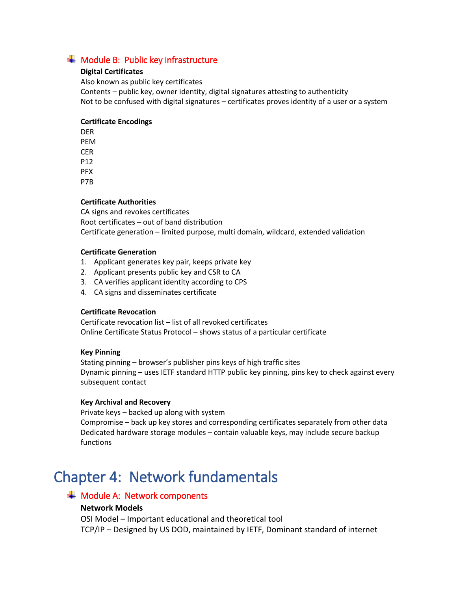# <span id="page-11-0"></span> $\frac{1}{\sqrt{1}}$  Module B: Public key infrastructure

## **Digital Certificates**

Also known as public key certificates Contents – public key, owner identity, digital signatures attesting to authenticity Not to be confused with digital signatures – certificates proves identity of a user or a system

# **Certificate Encodings**

DER PEM CER P12 PFX P7B

# **Certificate Authorities**

CA signs and revokes certificates Root certificates – out of band distribution Certificate generation – limited purpose, multi domain, wildcard, extended validation

### **Certificate Generation**

- 1. Applicant generates key pair, keeps private key
- 2. Applicant presents public key and CSR to CA
- 3. CA verifies applicant identity according to CPS
- 4. CA signs and disseminates certificate

### **Certificate Revocation**

Certificate revocation list – list of all revoked certificates Online Certificate Status Protocol – shows status of a particular certificate

### **Key Pinning**

Stating pinning – browser's publisher pins keys of high traffic sites Dynamic pinning – uses IETF standard HTTP public key pinning, pins key to check against every subsequent contact

### **Key Archival and Recovery**

Private keys – backed up along with system Compromise – back up key stores and corresponding certificates separately from other data Dedicated hardware storage modules – contain valuable keys, may include secure backup functions

# <span id="page-11-1"></span>Chapter 4: Network fundamentals

# <span id="page-11-2"></span> $\div$  Module A: Network components

# **Network Models**

OSI Model – Important educational and theoretical tool TCP/IP – Designed by US DOD, maintained by IETF, Dominant standard of internet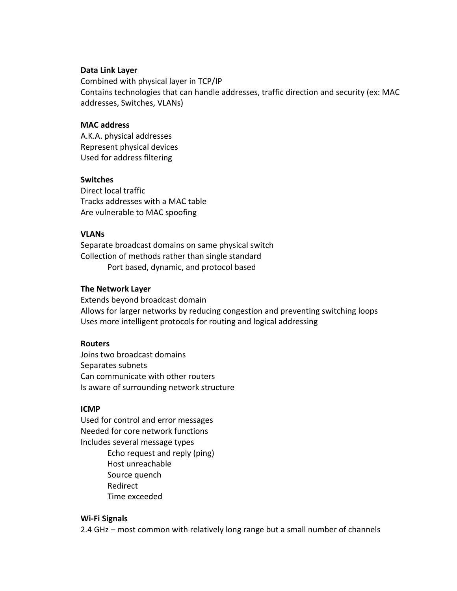### **Data Link Layer**

Combined with physical layer in TCP/IP Contains technologies that can handle addresses, traffic direction and security (ex: MAC addresses, Switches, VLANs)

# **MAC address**

A.K.A. physical addresses Represent physical devices Used for address filtering

# **Switches**

Direct local traffic Tracks addresses with a MAC table Are vulnerable to MAC spoofing

# **VLANs**

Separate broadcast domains on same physical switch Collection of methods rather than single standard Port based, dynamic, and protocol based

# **The Network Layer**

Extends beyond broadcast domain Allows for larger networks by reducing congestion and preventing switching loops Uses more intelligent protocols for routing and logical addressing

# **Routers**

Joins two broadcast domains Separates subnets Can communicate with other routers Is aware of surrounding network structure

### **ICMP**

Used for control and error messages Needed for core network functions Includes several message types

> Echo request and reply (ping) Host unreachable Source quench Redirect Time exceeded

### **Wi-Fi Signals**

2.4 GHz – most common with relatively long range but a small number of channels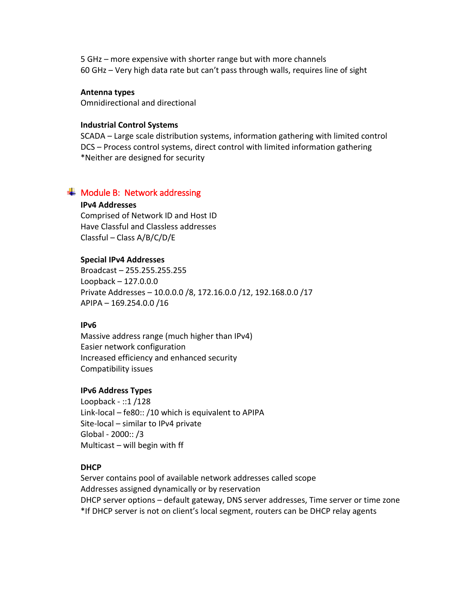5 GHz – more expensive with shorter range but with more channels 60 GHz – Very high data rate but can't pass through walls, requires line of sight

# **Antenna types**

Omnidirectional and directional

# **Industrial Control Systems**

SCADA – Large scale distribution systems, information gathering with limited control DCS – Process control systems, direct control with limited information gathering \*Neither are designed for security

# <span id="page-13-0"></span> $\textcolor{red}{\div}$  Module B: Network addressing

# **IPv4 Addresses**

Comprised of Network ID and Host ID Have Classful and Classless addresses Classful – Class A/B/C/D/E

# **Special IPv4 Addresses**

Broadcast – 255.255.255.255 Loopback – 127.0.0.0 Private Addresses – 10.0.0.0 /8, 172.16.0.0 /12, 192.168.0.0 /17 APIPA – 169.254.0.0 /16

# **IPv6**

Massive address range (much higher than IPv4) Easier network configuration Increased efficiency and enhanced security Compatibility issues

# **IPv6 Address Types**

Loopback - ::1 /128 Link-local – fe80:: /10 which is equivalent to APIPA Site-local – similar to IPv4 private Global - 2000:: /3 Multicast – will begin with ff

# **DHCP**

Server contains pool of available network addresses called scope Addresses assigned dynamically or by reservation DHCP server options – default gateway, DNS server addresses, Time server or time zone \*If DHCP server is not on client's local segment, routers can be DHCP relay agents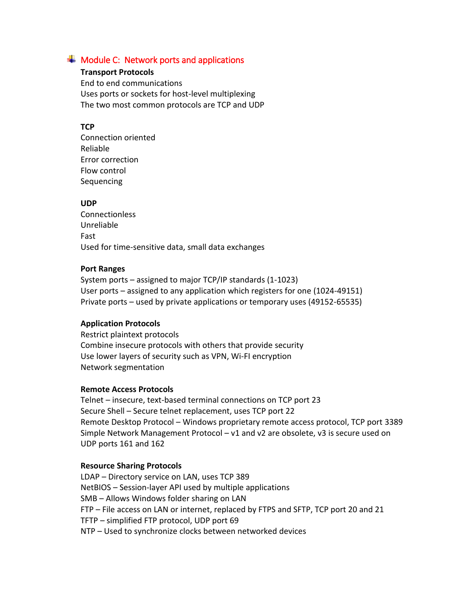# <span id="page-14-0"></span> $\overline{\textbf{+}}$  Module C: Network ports and applications

# **Transport Protocols**

End to end communications Uses ports or sockets for host-level multiplexing The two most common protocols are TCP and UDP

# **TCP**

Connection oriented Reliable Error correction Flow control **Sequencing** 

### **UDP**

**Connectionless** Unreliable Fast Used for time-sensitive data, small data exchanges

### **Port Ranges**

System ports – assigned to major TCP/IP standards (1-1023) User ports – assigned to any application which registers for one (1024-49151) Private ports – used by private applications or temporary uses (49152-65535)

## **Application Protocols**

Restrict plaintext protocols Combine insecure protocols with others that provide security Use lower layers of security such as VPN, Wi-FI encryption Network segmentation

## **Remote Access Protocols**

Telnet – insecure, text-based terminal connections on TCP port 23 Secure Shell – Secure telnet replacement, uses TCP port 22 Remote Desktop Protocol – Windows proprietary remote access protocol, TCP port 3389 Simple Network Management Protocol – v1 and v2 are obsolete, v3 is secure used on UDP ports 161 and 162

### **Resource Sharing Protocols**

LDAP – Directory service on LAN, uses TCP 389 NetBIOS – Session-layer API used by multiple applications SMB – Allows Windows folder sharing on LAN FTP – File access on LAN or internet, replaced by FTPS and SFTP, TCP port 20 and 21 TFTP – simplified FTP protocol, UDP port 69 NTP – Used to synchronize clocks between networked devices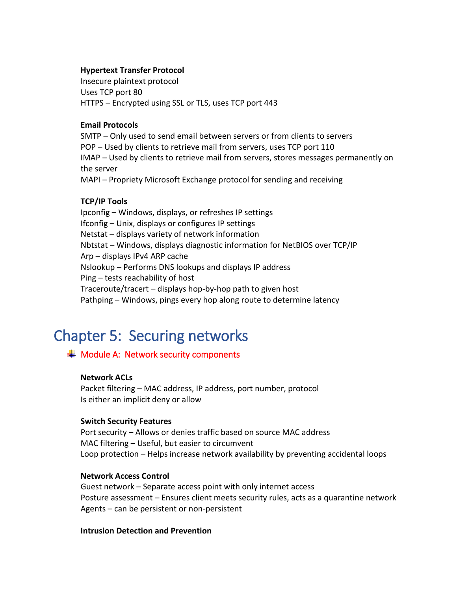# **Hypertext Transfer Protocol**

Insecure plaintext protocol Uses TCP port 80 HTTPS – Encrypted using SSL or TLS, uses TCP port 443

# **Email Protocols**

SMTP – Only used to send email between servers or from clients to servers POP – Used by clients to retrieve mail from servers, uses TCP port 110 IMAP – Used by clients to retrieve mail from servers, stores messages permanently on the server MAPI – Propriety Microsoft Exchange protocol for sending and receiving

# **TCP/IP Tools**

Ipconfig – Windows, displays, or refreshes IP settings Ifconfig – Unix, displays or configures IP settings Netstat – displays variety of network information Nbtstat – Windows, displays diagnostic information for NetBIOS over TCP/IP Arp – displays IPv4 ARP cache Nslookup – Performs DNS lookups and displays IP address Ping – tests reachability of host Traceroute/tracert – displays hop-by-hop path to given host Pathping – Windows, pings every hop along route to determine latency

# <span id="page-15-0"></span>Chapter 5: Securing networks

# <span id="page-15-1"></span> $\frac{1}{\sqrt{2}}$  Module A: Network security components

## **Network ACLs**

Packet filtering – MAC address, IP address, port number, protocol Is either an implicit deny or allow

### **Switch Security Features**

Port security – Allows or denies traffic based on source MAC address MAC filtering – Useful, but easier to circumvent Loop protection – Helps increase network availability by preventing accidental loops

# **Network Access Control**

Guest network – Separate access point with only internet access Posture assessment – Ensures client meets security rules, acts as a quarantine network Agents – can be persistent or non-persistent

### **Intrusion Detection and Prevention**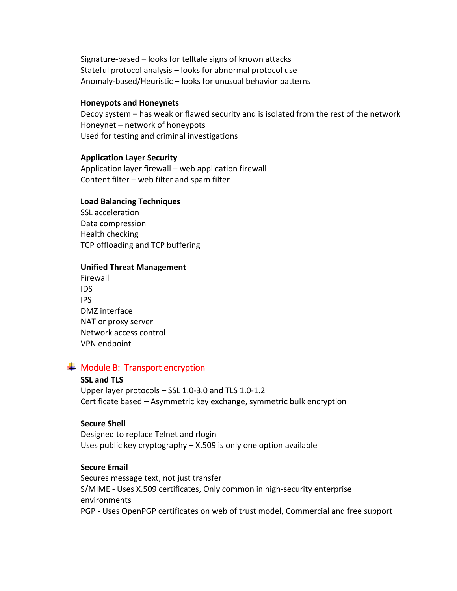Signature-based – looks for telltale signs of known attacks Stateful protocol analysis – looks for abnormal protocol use Anomaly-based/Heuristic – looks for unusual behavior patterns

#### **Honeypots and Honeynets**

Decoy system – has weak or flawed security and is isolated from the rest of the network Honeynet – network of honeypots Used for testing and criminal investigations

### **Application Layer Security**

Application layer firewall – web application firewall Content filter – web filter and spam filter

### **Load Balancing Techniques**

SSL acceleration Data compression Health checking TCP offloading and TCP buffering

### **Unified Threat Management**

| Firewall               |
|------------------------|
| ids                    |
| IPS                    |
| DMZ interface          |
| NAT or proxy server    |
| Network access control |
| <b>VPN endpoint</b>    |

# <span id="page-16-0"></span> $\overline{\textbf{H}}$  Module B: Transport encryption

### **SSL and TLS**

Upper layer protocols – SSL 1.0-3.0 and TLS 1.0-1.2 Certificate based – Asymmetric key exchange, symmetric bulk encryption

### **Secure Shell**

Designed to replace Telnet and rlogin Uses public key cryptography – X.509 is only one option available

### **Secure Email**

Secures message text, not just transfer S/MIME - Uses X.509 certificates, Only common in high-security enterprise environments PGP - Uses OpenPGP certificates on web of trust model, Commercial and free support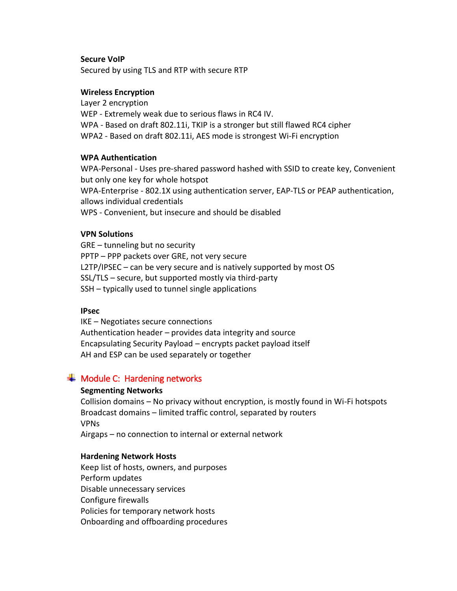# **Secure VoIP**

Secured by using TLS and RTP with secure RTP

# **Wireless Encryption**

Layer 2 encryption WEP - Extremely weak due to serious flaws in RC4 IV. WPA - Based on draft 802.11i, TKIP is a stronger but still flawed RC4 cipher WPA2 - Based on draft 802.11i, AES mode is strongest Wi-Fi encryption

# **WPA Authentication**

WPA-Personal - Uses pre-shared password hashed with SSID to create key, Convenient but only one key for whole hotspot WPA-Enterprise - 802.1X using authentication server, EAP-TLS or PEAP authentication, allows individual credentials WPS - Convenient, but insecure and should be disabled

# **VPN Solutions**

GRE – tunneling but no security PPTP – PPP packets over GRE, not very secure L2TP/IPSEC – can be very secure and is natively supported by most OS SSL/TLS – secure, but supported mostly via third-party SSH – typically used to tunnel single applications

### **IPsec**

IKE – Negotiates secure connections Authentication header – provides data integrity and source Encapsulating Security Payload – encrypts packet payload itself AH and ESP can be used separately or together

# <span id="page-17-0"></span> $\bigstar$  Module C: Hardening networks

### **Segmenting Networks**

Collision domains – No privacy without encryption, is mostly found in Wi-Fi hotspots Broadcast domains – limited traffic control, separated by routers VPNs Airgaps – no connection to internal or external network

### **Hardening Network Hosts**

Keep list of hosts, owners, and purposes Perform updates Disable unnecessary services Configure firewalls Policies for temporary network hosts Onboarding and offboarding procedures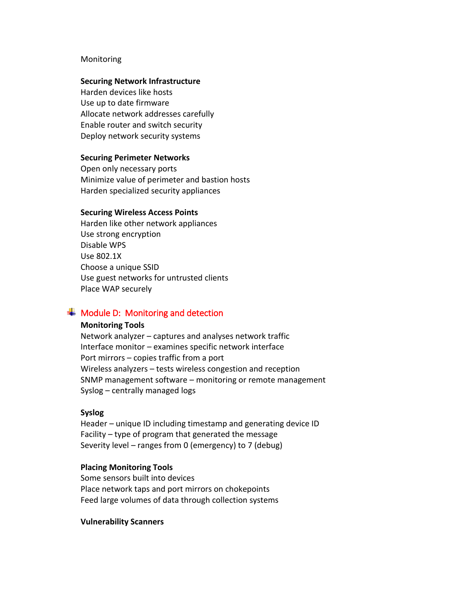### Monitoring

#### **Securing Network Infrastructure**

Harden devices like hosts Use up to date firmware Allocate network addresses carefully Enable router and switch security Deploy network security systems

#### **Securing Perimeter Networks**

Open only necessary ports Minimize value of perimeter and bastion hosts Harden specialized security appliances

#### **Securing Wireless Access Points**

Harden like other network appliances Use strong encryption Disable WPS Use 802.1X Choose a unique SSID Use guest networks for untrusted clients Place WAP securely

# <span id="page-18-0"></span> $\overline{\phantom{a}}$  Module D: Monitoring and detection

### **Monitoring Tools**

Network analyzer – captures and analyses network traffic Interface monitor – examines specific network interface Port mirrors – copies traffic from a port Wireless analyzers – tests wireless congestion and reception SNMP management software – monitoring or remote management Syslog – centrally managed logs

#### **Syslog**

Header – unique ID including timestamp and generating device ID Facility – type of program that generated the message Severity level – ranges from 0 (emergency) to 7 (debug)

### **Placing Monitoring Tools**

Some sensors built into devices Place network taps and port mirrors on chokepoints Feed large volumes of data through collection systems

#### **Vulnerability Scanners**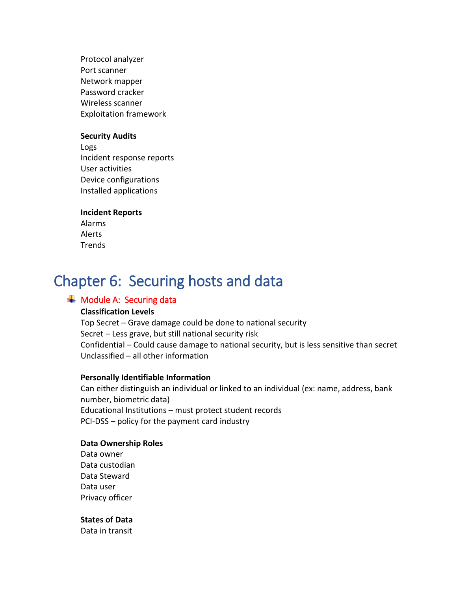Protocol analyzer Port scanner Network mapper Password cracker Wireless scanner Exploitation framework

#### **Security Audits**

Logs Incident response reports User activities Device configurations Installed applications

### **Incident Reports**

Alarms Alerts **Trends** 

# <span id="page-19-0"></span>Chapter 6: Securing hosts and data

# <span id="page-19-1"></span> $\frac{1}{\sqrt{1}}$  Module A: Securing data

## **Classification Levels**

Top Secret – Grave damage could be done to national security Secret – Less grave, but still national security risk Confidential – Could cause damage to national security, but is less sensitive than secret Unclassified – all other information

#### **Personally Identifiable Information**

Can either distinguish an individual or linked to an individual (ex: name, address, bank number, biometric data) Educational Institutions – must protect student records PCI-DSS – policy for the payment card industry

#### **Data Ownership Roles**

Data owner Data custodian Data Steward Data user Privacy officer

# **States of Data**

Data in transit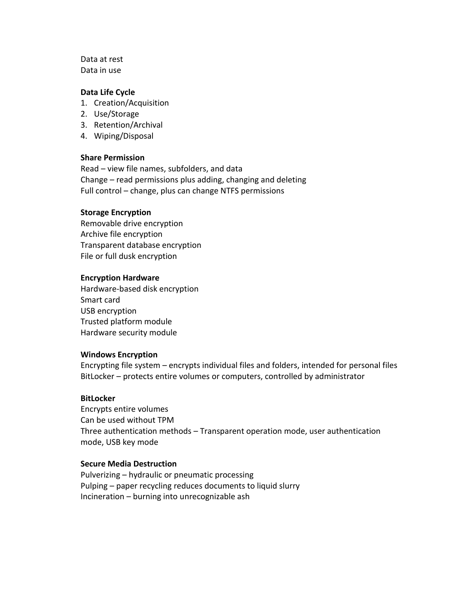Data at rest Data in use

# **Data Life Cycle**

- 1. Creation/Acquisition
- 2. Use/Storage
- 3. Retention/Archival
- 4. Wiping/Disposal

#### **Share Permission**

Read – view file names, subfolders, and data Change – read permissions plus adding, changing and deleting Full control – change, plus can change NTFS permissions

#### **Storage Encryption**

Removable drive encryption Archive file encryption Transparent database encryption File or full dusk encryption

#### **Encryption Hardware**

Hardware-based disk encryption Smart card USB encryption Trusted platform module Hardware security module

#### **Windows Encryption**

Encrypting file system – encrypts individual files and folders, intended for personal files BitLocker – protects entire volumes or computers, controlled by administrator

#### **BitLocker**

Encrypts entire volumes Can be used without TPM Three authentication methods – Transparent operation mode, user authentication mode, USB key mode

# **Secure Media Destruction**

Pulverizing – hydraulic or pneumatic processing Pulping – paper recycling reduces documents to liquid slurry Incineration – burning into unrecognizable ash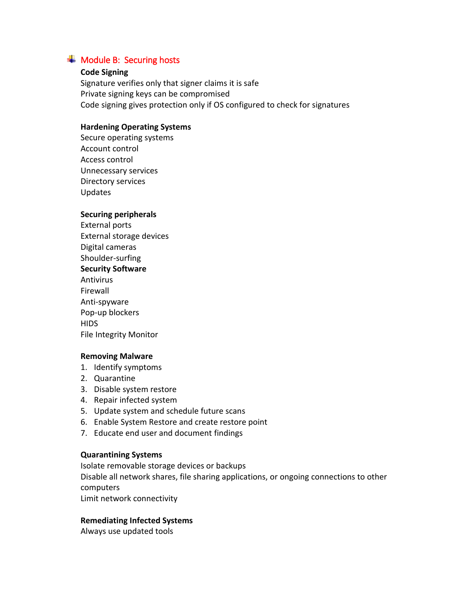# <span id="page-21-0"></span> $\triangleq$  Module B: Securing hosts

# **Code Signing**

Signature verifies only that signer claims it is safe Private signing keys can be compromised Code signing gives protection only if OS configured to check for signatures

# **Hardening Operating Systems**

Secure operating systems Account control Access control Unnecessary services Directory services Updates

# **Securing peripherals**

External ports External storage devices Digital cameras Shoulder-surfing **Security Software** Antivirus Firewall Anti-spyware Pop-up blockers **HIDS** File Integrity Monitor

### **Removing Malware**

- 1. Identify symptoms
- 2. Quarantine
- 3. Disable system restore
- 4. Repair infected system
- 5. Update system and schedule future scans
- 6. Enable System Restore and create restore point
- 7. Educate end user and document findings

### **Quarantining Systems**

Isolate removable storage devices or backups

Disable all network shares, file sharing applications, or ongoing connections to other computers

Limit network connectivity

# **Remediating Infected Systems**

Always use updated tools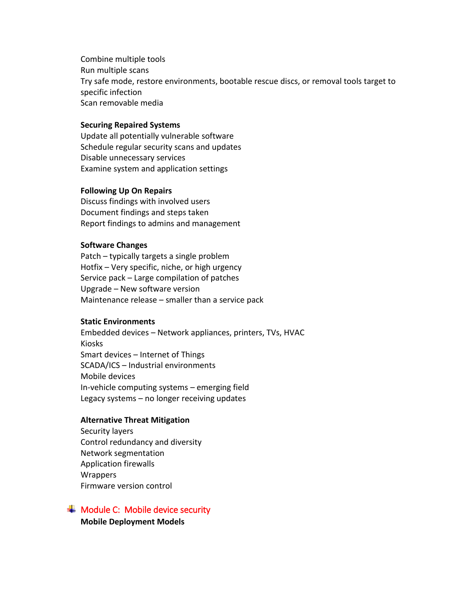Combine multiple tools Run multiple scans Try safe mode, restore environments, bootable rescue discs, or removal tools target to specific infection Scan removable media

## **Securing Repaired Systems**

Update all potentially vulnerable software Schedule regular security scans and updates Disable unnecessary services Examine system and application settings

#### **Following Up On Repairs**

Discuss findings with involved users Document findings and steps taken Report findings to admins and management

# **Software Changes**

Patch – typically targets a single problem Hotfix – Very specific, niche, or high urgency Service pack – Large compilation of patches Upgrade – New software version Maintenance release – smaller than a service pack

## **Static Environments**

Embedded devices – Network appliances, printers, TVs, HVAC Kiosks Smart devices – Internet of Things SCADA/ICS – Industrial environments Mobile devices In-vehicle computing systems – emerging field Legacy systems – no longer receiving updates

# **Alternative Threat Mitigation**

Security layers Control redundancy and diversity Network segmentation Application firewalls Wrappers Firmware version control

# <span id="page-22-0"></span> $\overline{\textbf{+}}$  Module C: Mobile device security

**Mobile Deployment Models**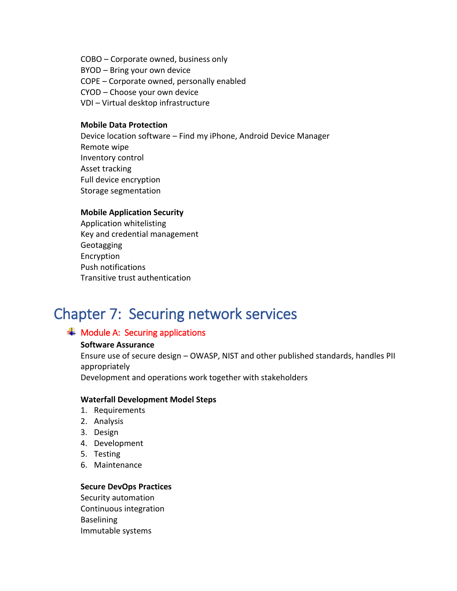COBO – Corporate owned, business only BYOD – Bring your own device COPE – Corporate owned, personally enabled CYOD – Choose your own device VDI – Virtual desktop infrastructure

# **Mobile Data Protection**

Device location software – Find my iPhone, Android Device Manager Remote wipe Inventory control Asset tracking Full device encryption Storage segmentation

# **Mobile Application Security**

Application whitelisting Key and credential management Geotagging Encryption Push notifications Transitive trust authentication

# <span id="page-23-0"></span>Chapter 7: Securing network services

# <span id="page-23-1"></span> $\overline{\textbf{+}}$  Module A: Securing applications

### **Software Assurance**

Ensure use of secure design – OWASP, NIST and other published standards, handles PII appropriately

Development and operations work together with stakeholders

### **Waterfall Development Model Steps**

- 1. Requirements
- 2. Analysis
- 3. Design
- 4. Development
- 5. Testing
- 6. Maintenance

# **Secure DevOps Practices**

Security automation Continuous integration Baselining Immutable systems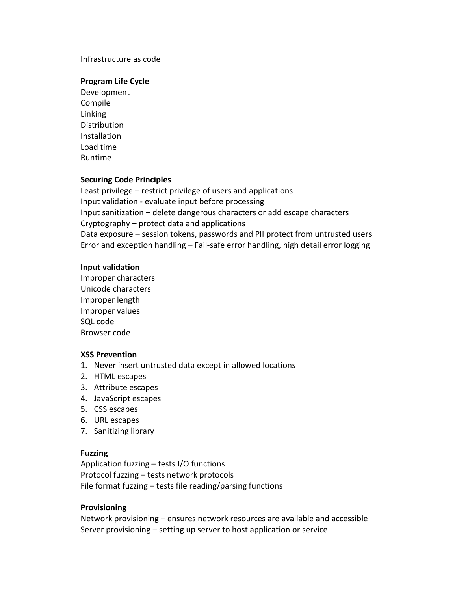### Infrastructure as code

#### **Program Life Cycle**

Development Compile Linking **Distribution** Installation Load time Runtime

#### **Securing Code Principles**

Least privilege – restrict privilege of users and applications Input validation - evaluate input before processing Input sanitization – delete dangerous characters or add escape characters Cryptography – protect data and applications Data exposure – session tokens, passwords and PII protect from untrusted users Error and exception handling – Fail-safe error handling, high detail error logging

#### **Input validation**

Improper characters Unicode characters Improper length Improper values SQL code Browser code

#### **XSS Prevention**

- 1. Never insert untrusted data except in allowed locations
- 2. HTML escapes
- 3. Attribute escapes
- 4. JavaScript escapes
- 5. CSS escapes
- 6. URL escapes
- 7. Sanitizing library

### **Fuzzing**

Application fuzzing – tests I/O functions Protocol fuzzing – tests network protocols File format fuzzing – tests file reading/parsing functions

#### **Provisioning**

Network provisioning – ensures network resources are available and accessible Server provisioning – setting up server to host application or service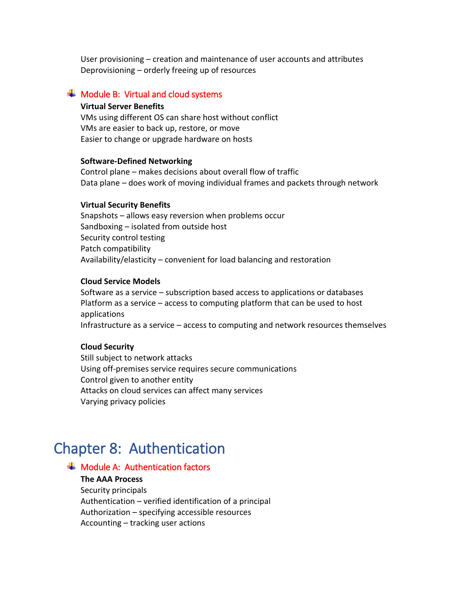User provisioning – creation and maintenance of user accounts and attributes Deprovisioning – orderly freeing up of resources

# <span id="page-25-0"></span> $\textcolor{red}{\blacktriangleleft}$  Module B: Virtual and cloud systems

# **Virtual Server Benefits**

VMs using different OS can share host without conflict VMs are easier to back up, restore, or move Easier to change or upgrade hardware on hosts

#### **Software-Defined Networking**

Control plane – makes decisions about overall flow of traffic Data plane – does work of moving individual frames and packets through network

#### **Virtual Security Benefits**

Snapshots – allows easy reversion when problems occur Sandboxing – isolated from outside host Security control testing Patch compatibility Availability/elasticity – convenient for load balancing and restoration

#### **Cloud Service Models**

Software as a service – subscription based access to applications or databases Platform as a service – access to computing platform that can be used to host applications Infrastructure as a service – access to computing and network resources themselves

#### **Cloud Security**

Still subject to network attacks Using off-premises service requires secure communications Control given to another entity Attacks on cloud services can affect many services Varying privacy policies

# <span id="page-25-1"></span>Chapter 8: Authentication

# <span id="page-25-2"></span> $\textcolor{red}{\blacktriangleleft}$  Module A: Authentication factors

# **The AAA Process**

Security principals Authentication – verified identification of a principal Authorization – specifying accessible resources Accounting – tracking user actions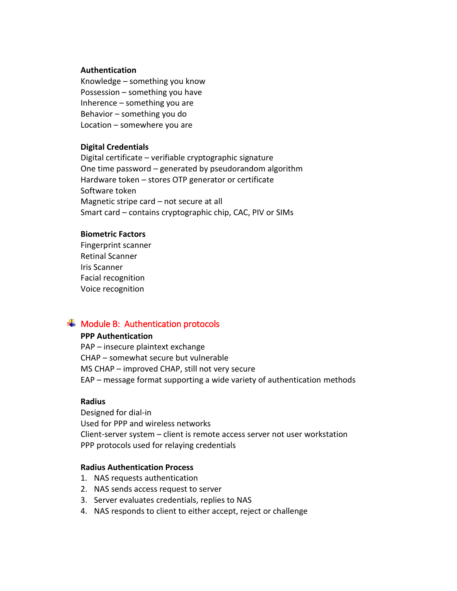#### **Authentication**

Knowledge – something you know Possession – something you have Inherence – something you are Behavior – something you do Location – somewhere you are

## **Digital Credentials**

Digital certificate – verifiable cryptographic signature One time password – generated by pseudorandom algorithm Hardware token – stores OTP generator or certificate Software token Magnetic stripe card – not secure at all Smart card – contains cryptographic chip, CAC, PIV or SIMs

#### **Biometric Factors**

Fingerprint scanner Retinal Scanner Iris Scanner Facial recognition Voice recognition

# <span id="page-26-0"></span> $\div$  Module B: Authentication protocols

### **PPP Authentication**

PAP – insecure plaintext exchange CHAP – somewhat secure but vulnerable MS CHAP – improved CHAP, still not very secure EAP – message format supporting a wide variety of authentication methods

# **Radius**

Designed for dial-in Used for PPP and wireless networks Client-server system – client is remote access server not user workstation PPP protocols used for relaying credentials

# **Radius Authentication Process**

- 1. NAS requests authentication
- 2. NAS sends access request to server
- 3. Server evaluates credentials, replies to NAS
- 4. NAS responds to client to either accept, reject or challenge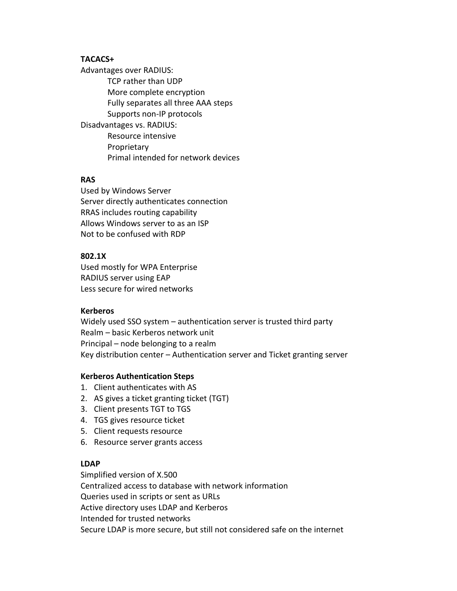# **TACACS+**

Advantages over RADIUS: TCP rather than UDP More complete encryption Fully separates all three AAA steps Supports non-IP protocols Disadvantages vs. RADIUS: Resource intensive Proprietary Primal intended for network devices

## **RAS**

Used by Windows Server Server directly authenticates connection RRAS includes routing capability Allows Windows server to as an ISP Not to be confused with RDP

# **802.1X**

Used mostly for WPA Enterprise RADIUS server using EAP Less secure for wired networks

### **Kerberos**

Widely used SSO system – authentication server is trusted third party Realm – basic Kerberos network unit Principal – node belonging to a realm Key distribution center – Authentication server and Ticket granting server

### **Kerberos Authentication Steps**

- 1. Client authenticates with AS
- 2. AS gives a ticket granting ticket (TGT)
- 3. Client presents TGT to TGS
- 4. TGS gives resource ticket
- 5. Client requests resource
- 6. Resource server grants access

# **LDAP**

Simplified version of X.500 Centralized access to database with network information Queries used in scripts or sent as URLs Active directory uses LDAP and Kerberos Intended for trusted networks Secure LDAP is more secure, but still not considered safe on the internet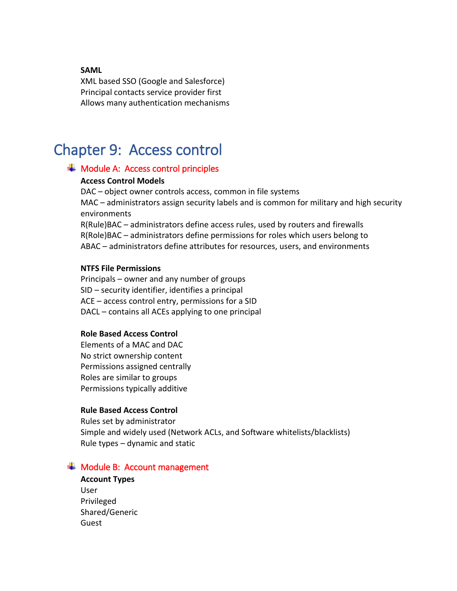### **SAML**

XML based SSO (Google and Salesforce) Principal contacts service provider first Allows many authentication mechanisms

# <span id="page-28-0"></span>Chapter 9: Access control

# <span id="page-28-1"></span> $\overline{\textbf{+}}$  Module A: Access control principles

#### **Access Control Models**

DAC – object owner controls access, common in file systems MAC – administrators assign security labels and is common for military and high security environments R(Rule)BAC – administrators define access rules, used by routers and firewalls

R(Role)BAC – administrators define permissions for roles which users belong to ABAC – administrators define attributes for resources, users, and environments

## **NTFS File Permissions**

Principals – owner and any number of groups SID – security identifier, identifies a principal ACE – access control entry, permissions for a SID DACL – contains all ACEs applying to one principal

#### **Role Based Access Control**

Elements of a MAC and DAC No strict ownership content Permissions assigned centrally Roles are similar to groups Permissions typically additive

### **Rule Based Access Control**

Rules set by administrator Simple and widely used (Network ACLs, and Software whitelists/blacklists) Rule types – dynamic and static

# <span id="page-28-2"></span> $\div$  Module B: Account management

**Account Types** User Privileged Shared/Generic Guest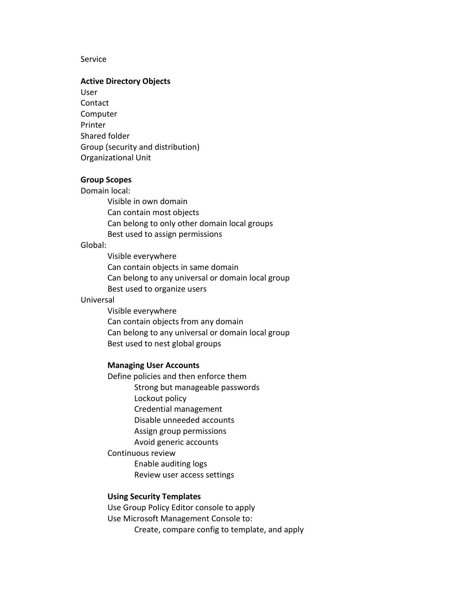#### **Service**

#### **Active Directory Objects**

User Contact Computer Printer Shared folder Group (security and distribution) Organizational Unit

#### **Group Scopes**

Domain local:

Visible in own domain Can contain most objects Can belong to only other domain local groups Best used to assign permissions

### Global:

Visible everywhere Can contain objects in same domain Can belong to any universal or domain local group Best used to organize users

#### Universal

Visible everywhere Can contain objects from any domain Can belong to any universal or domain local group Best used to nest global groups

#### **Managing User Accounts**

Define policies and then enforce them Strong but manageable passwords Lockout policy Credential management Disable unneeded accounts Assign group permissions Avoid generic accounts Continuous review

> Enable auditing logs Review user access settings

# **Using Security Templates**

Use Group Policy Editor console to apply Use Microsoft Management Console to: Create, compare config to template, and apply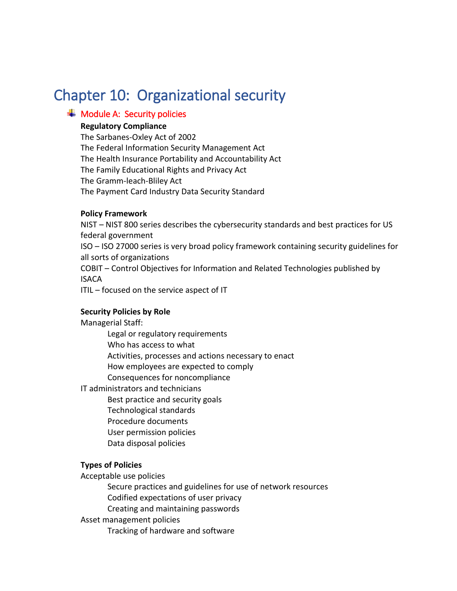# <span id="page-30-0"></span>Chapter 10: Organizational security

# <span id="page-30-1"></span> $\overline{\textbf{H}}$  Module A: Security policies

# **Regulatory Compliance**

The Sarbanes-Oxley Act of 2002 The Federal Information Security Management Act The Health Insurance Portability and Accountability Act The Family Educational Rights and Privacy Act The Gramm-leach-Bliley Act The Payment Card Industry Data Security Standard

# **Policy Framework**

NIST – NIST 800 series describes the cybersecurity standards and best practices for US federal government ISO – ISO 27000 series is very broad policy framework containing security guidelines for all sorts of organizations COBIT – Control Objectives for Information and Related Technologies published by ISACA ITIL – focused on the service aspect of IT

# **Security Policies by Role**

Managerial Staff:

Legal or regulatory requirements Who has access to what Activities, processes and actions necessary to enact How employees are expected to comply Consequences for noncompliance

IT administrators and technicians

Best practice and security goals

- Technological standards
- Procedure documents
- User permission policies
- Data disposal policies

# **Types of Policies**

Acceptable use policies

Secure practices and guidelines for use of network resources

Codified expectations of user privacy

Creating and maintaining passwords

Asset management policies

Tracking of hardware and software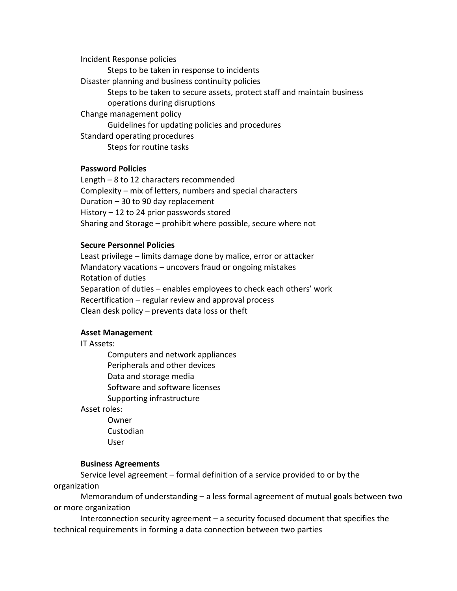Incident Response policies Steps to be taken in response to incidents Disaster planning and business continuity policies Steps to be taken to secure assets, protect staff and maintain business operations during disruptions Change management policy Guidelines for updating policies and procedures Standard operating procedures Steps for routine tasks

# **Password Policies**

Length – 8 to 12 characters recommended Complexity – mix of letters, numbers and special characters Duration – 30 to 90 day replacement History – 12 to 24 prior passwords stored Sharing and Storage – prohibit where possible, secure where not

#### **Secure Personnel Policies**

Least privilege – limits damage done by malice, error or attacker Mandatory vacations – uncovers fraud or ongoing mistakes Rotation of duties Separation of duties – enables employees to check each others' work Recertification – regular review and approval process Clean desk policy – prevents data loss or theft

### **Asset Management**

IT Assets:

Computers and network appliances Peripherals and other devices Data and storage media Software and software licenses Supporting infrastructure

Asset roles:

Owner Custodian User

#### **Business Agreements**

Service level agreement – formal definition of a service provided to or by the organization

Memorandum of understanding – a less formal agreement of mutual goals between two or more organization

Interconnection security agreement – a security focused document that specifies the technical requirements in forming a data connection between two parties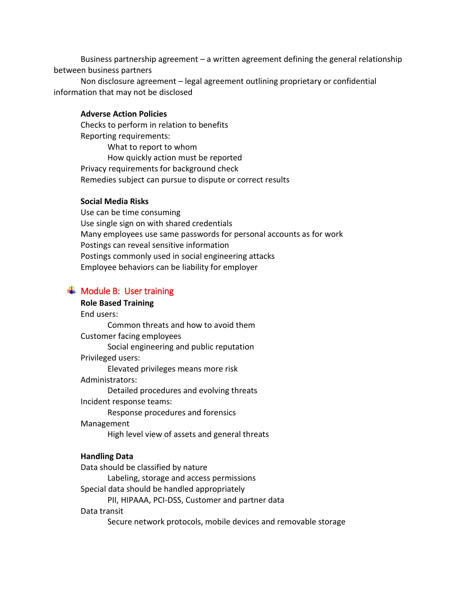Business partnership agreement – a written agreement defining the general relationship between business partners

Non disclosure agreement – legal agreement outlining proprietary or confidential information that may not be disclosed

#### **Adverse Action Policies**

Checks to perform in relation to benefits Reporting requirements: What to report to whom How quickly action must be reported Privacy requirements for background check Remedies subject can pursue to dispute or correct results

### **Social Media Risks**

Use can be time consuming Use single sign on with shared credentials Many employees use same passwords for personal accounts as for work Postings can reveal sensitive information Postings commonly used in social engineering attacks Employee behaviors can be liability for employer

# <span id="page-32-0"></span> $\textcolor{red}{\bigstar}$  Module B: User training

#### **Role Based Training**

End users:

Common threats and how to avoid them Customer facing employees

Social engineering and public reputation

Privileged users:

Elevated privileges means more risk

Administrators:

Detailed procedures and evolving threats

Incident response teams:

Response procedures and forensics

Management

High level view of assets and general threats

### **Handling Data**

Data should be classified by nature

Labeling, storage and access permissions

Special data should be handled appropriately

PII, HIPAAA, PCI-DSS, Customer and partner data

### Data transit

Secure network protocols, mobile devices and removable storage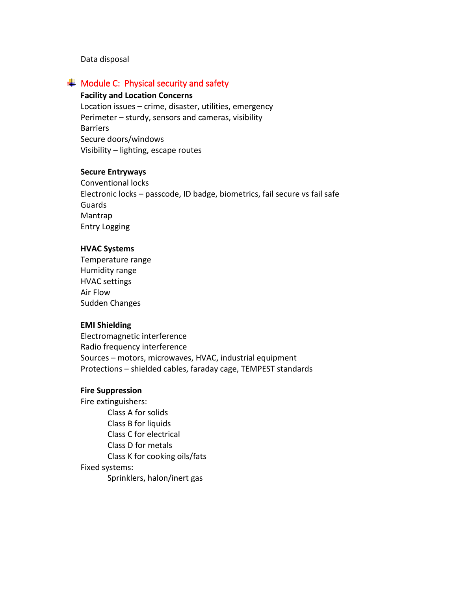Data disposal

# <span id="page-33-0"></span> $\textcolor{red}{\bigstar}$  Module C: Physical security and safety

#### **Facility and Location Concerns**

Location issues – crime, disaster, utilities, emergency Perimeter – sturdy, sensors and cameras, visibility Barriers Secure doors/windows Visibility – lighting, escape routes

# **Secure Entryways**

Conventional locks Electronic locks – passcode, ID badge, biometrics, fail secure vs fail safe Guards Mantrap Entry Logging

#### **HVAC Systems**

Temperature range Humidity range HVAC settings Air Flow Sudden Changes

#### **EMI Shielding**

Electromagnetic interference Radio frequency interference Sources – motors, microwaves, HVAC, industrial equipment Protections – shielded cables, faraday cage, TEMPEST standards

### **Fire Suppression**

Fire extinguishers: Class A for solids Class B for liquids Class C for electrical Class D for metals Class K for cooking oils/fats Fixed systems: Sprinklers, halon/inert gas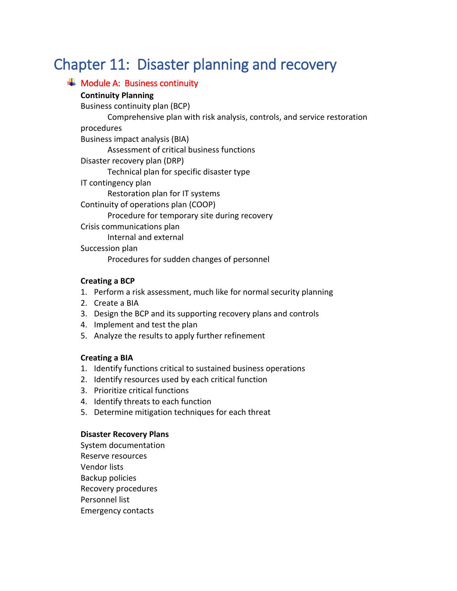# <span id="page-34-0"></span>Chapter 11: Disaster planning and recovery

<span id="page-34-1"></span>

| $\textcolor{red}{\textbf{4}}$ Module A: Business continuity              |
|--------------------------------------------------------------------------|
| <b>Continuity Planning</b>                                               |
| Business continuity plan (BCP)                                           |
| Comprehensive plan with risk analysis, controls, and service restoration |
| procedures                                                               |
| Business impact analysis (BIA)                                           |
| Assessment of critical business functions                                |
| Disaster recovery plan (DRP)                                             |
| Technical plan for specific disaster type                                |
| IT contingency plan                                                      |
| Restoration plan for IT systems                                          |
| Continuity of operations plan (COOP)                                     |
| Procedure for temporary site during recovery                             |
| Crisis communications plan                                               |
| Internal and external                                                    |
| Succession plan                                                          |
| Procedures for sudden changes of personnel                               |
|                                                                          |

# **Creating a BCP**

- 1. Perform a risk assessment, much like for normal security planning
- 2. Create a BIA
- 3. Design the BCP and its supporting recovery plans and controls
- 4. Implement and test the plan
- 5. Analyze the results to apply further refinement

# **Creating a BIA**

- 1. Identify functions critical to sustained business operations
- 2. Identify resources used by each critical function
- 3. Prioritize critical functions
- 4. Identify threats to each function
- 5. Determine mitigation techniques for each threat

# **Disaster Recovery Plans**

System documentation Reserve resources Vendor lists Backup policies Recovery procedures Personnel list Emergency contacts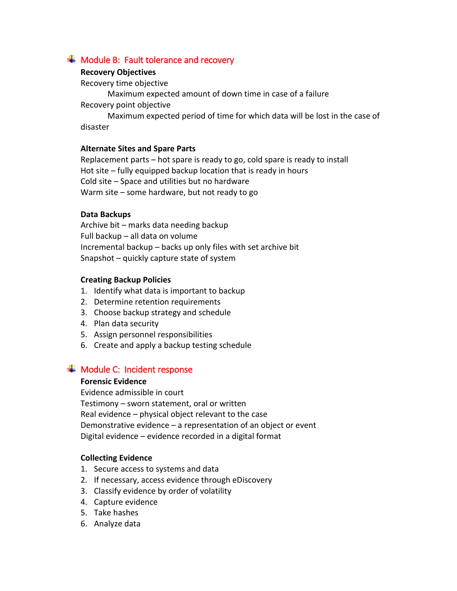# <span id="page-35-0"></span> $\frac{1}{\sqrt{1}}$  Module B: Fault tolerance and recovery

# **Recovery Objectives**

Recovery time objective

Maximum expected amount of down time in case of a failure Recovery point objective

Maximum expected period of time for which data will be lost in the case of disaster

# **Alternate Sites and Spare Parts**

Replacement parts – hot spare is ready to go, cold spare is ready to install Hot site – fully equipped backup location that is ready in hours Cold site – Space and utilities but no hardware Warm site – some hardware, but not ready to go

# **Data Backups**

Archive bit – marks data needing backup Full backup – all data on volume Incremental backup – backs up only files with set archive bit Snapshot – quickly capture state of system

# **Creating Backup Policies**

- 1. Identify what data is important to backup
- 2. Determine retention requirements
- 3. Choose backup strategy and schedule
- 4. Plan data security
- 5. Assign personnel responsibilities
- 6. Create and apply a backup testing schedule

# <span id="page-35-1"></span> $\textcolor{red}{\blacktriangleleft}$  Module C: Incident response

# **Forensic Evidence**

Evidence admissible in court

Testimony – sworn statement, oral or written Real evidence – physical object relevant to the case Demonstrative evidence – a representation of an object or event Digital evidence – evidence recorded in a digital format

# **Collecting Evidence**

- 1. Secure access to systems and data
- 2. If necessary, access evidence through eDiscovery
- 3. Classify evidence by order of volatility
- 4. Capture evidence
- 5. Take hashes
- 6. Analyze data